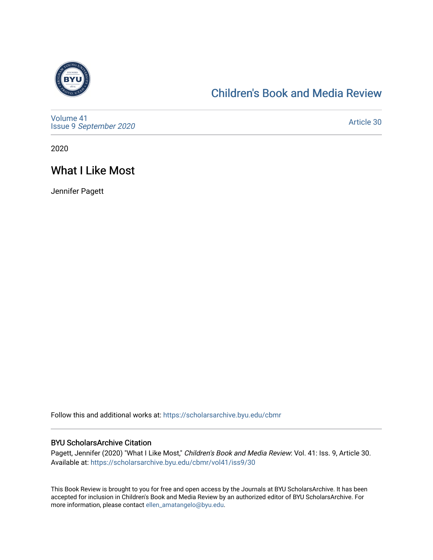

#### [Children's Book and Media Review](https://scholarsarchive.byu.edu/cbmr)

[Volume 41](https://scholarsarchive.byu.edu/cbmr/vol41) Issue 9 [September 2020](https://scholarsarchive.byu.edu/cbmr/vol41/iss9) 

[Article 30](https://scholarsarchive.byu.edu/cbmr/vol41/iss9/30) 

2020

### What I Like Most

Jennifer Pagett

Follow this and additional works at: [https://scholarsarchive.byu.edu/cbmr](https://scholarsarchive.byu.edu/cbmr?utm_source=scholarsarchive.byu.edu%2Fcbmr%2Fvol41%2Fiss9%2F30&utm_medium=PDF&utm_campaign=PDFCoverPages) 

#### BYU ScholarsArchive Citation

Pagett, Jennifer (2020) "What I Like Most," Children's Book and Media Review: Vol. 41: Iss. 9, Article 30. Available at: [https://scholarsarchive.byu.edu/cbmr/vol41/iss9/30](https://scholarsarchive.byu.edu/cbmr/vol41/iss9/30?utm_source=scholarsarchive.byu.edu%2Fcbmr%2Fvol41%2Fiss9%2F30&utm_medium=PDF&utm_campaign=PDFCoverPages)

This Book Review is brought to you for free and open access by the Journals at BYU ScholarsArchive. It has been accepted for inclusion in Children's Book and Media Review by an authorized editor of BYU ScholarsArchive. For more information, please contact [ellen\\_amatangelo@byu.edu.](mailto:ellen_amatangelo@byu.edu)